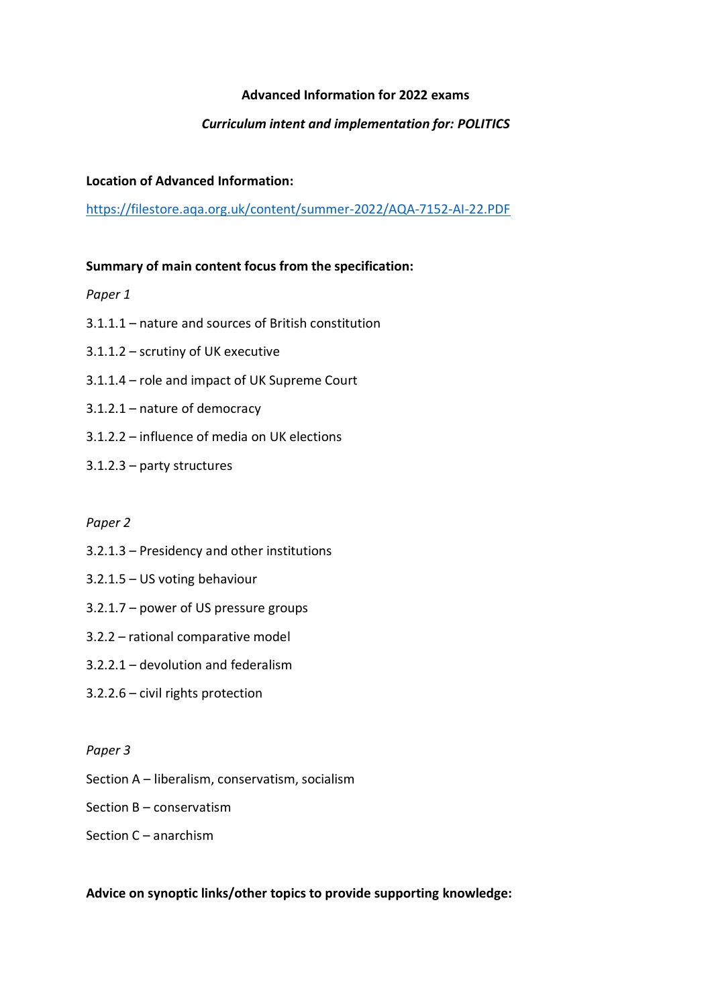# **Advanced Information for 2022 exams**

# *Curriculum intent and implementation for: POLITICS*

## **Location of Advanced Information:**

<https://filestore.aqa.org.uk/content/summer-2022/AQA-7152-AI-22.PDF>

## **Summary of main content focus from the specification:**

*Paper 1*

- 3.1.1.1 nature and sources of British constitution
- 3.1.1.2 scrutiny of UK executive
- 3.1.1.4 role and impact of UK Supreme Court
- 3.1.2.1 nature of democracy
- 3.1.2.2 influence of media on UK elections
- 3.1.2.3 party structures

#### *Paper 2*

- 3.2.1.3 Presidency and other institutions
- 3.2.1.5 US voting behaviour
- 3.2.1.7 power of US pressure groups
- 3.2.2 rational comparative model
- 3.2.2.1 devolution and federalism
- 3.2.2.6 civil rights protection

#### *Paper 3*

- Section A liberalism, conservatism, socialism
- Section B conservatism

# Section C – anarchism

## **Advice on synoptic links/other topics to provide supporting knowledge:**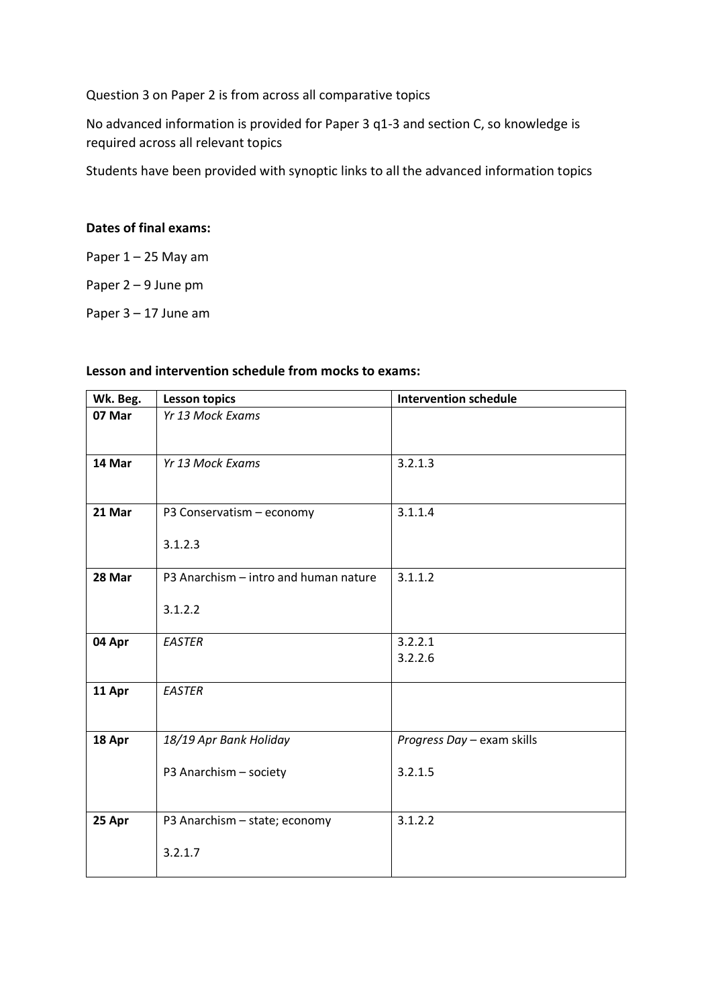Question 3 on Paper 2 is from across all comparative topics

No advanced information is provided for Paper 3 q1-3 and section C, so knowledge is required across all relevant topics

Students have been provided with synoptic links to all the advanced information topics

## **Dates of final exams:**

Paper  $1 - 25$  May am

Paper 2 – 9 June pm

Paper 3 – 17 June am

## **Lesson and intervention schedule from mocks to exams:**

| Wk. Beg. | <b>Lesson topics</b>                  | <b>Intervention schedule</b> |
|----------|---------------------------------------|------------------------------|
| 07 Mar   | Yr 13 Mock Exams                      |                              |
| 14 Mar   | Yr 13 Mock Exams                      | 3.2.1.3                      |
| 21 Mar   | P3 Conservatism - economy             | 3.1.1.4                      |
|          | 3.1.2.3                               |                              |
| 28 Mar   | P3 Anarchism - intro and human nature | 3.1.1.2                      |
|          | 3.1.2.2                               |                              |
| 04 Apr   | <b>EASTER</b>                         | 3.2.2.1<br>3.2.2.6           |
| 11 Apr   | <b>EASTER</b>                         |                              |
| 18 Apr   | 18/19 Apr Bank Holiday                | Progress Day - exam skills   |
|          | P3 Anarchism - society                | 3.2.1.5                      |
| 25 Apr   | P3 Anarchism - state; economy         | 3.1.2.2                      |
|          | 3.2.1.7                               |                              |